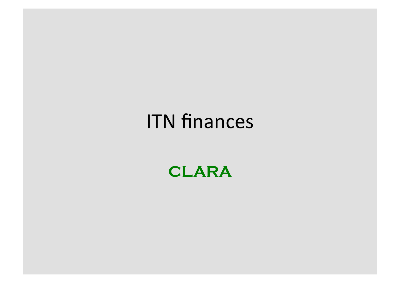#### **ITN finances**

**CLARA**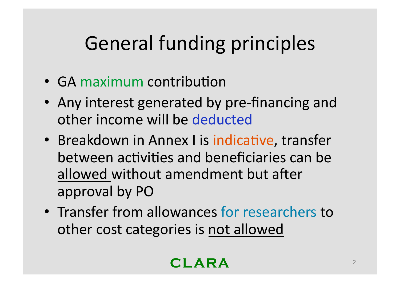# **General funding principles**

- GA maximum contribution
- Any interest generated by pre-financing and other income will be deducted
- Breakdown in Annex I is indicative, transfer between activities and beneficiaries can be allowed without amendment but after approval by PO
- Transfer from allowances for researchers to other cost categories is not allowed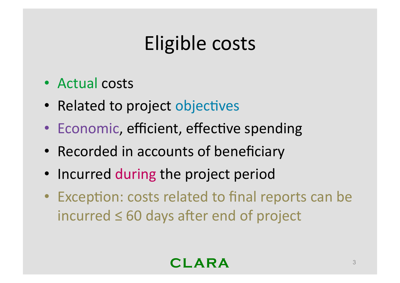## Eligible costs

- $\bullet$  Actual costs
- Related to project objectives
- Economic, efficient, effective spending
- Recorded in accounts of beneficiary
- Incurred during the project period
- Exception: costs related to final reports can be incurred  $≤ 60$  days after end of project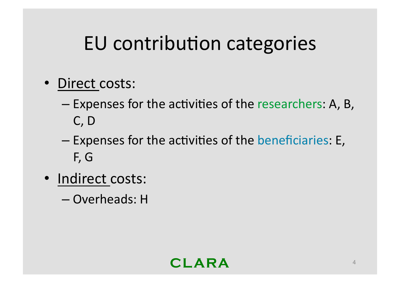### EU contribution categories

- Direct costs:
	- Expenses for the activities of the researchers: A, B,  $C, D$
	- Expenses for the activities of the beneficiaries: E, F, G
- · Indirect costs:
	- Overheads: H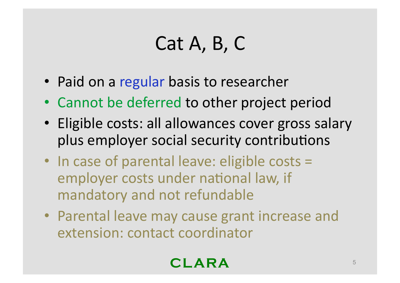## $Cat A, B, C$

- Paid on a regular basis to researcher
- Cannot be deferred to other project period
- Eligible costs: all allowances cover gross salary plus employer social security contributions
- In case of parental leave: eligible costs  $=$ employer costs under national law, if mandatory and not refundable
- Parental leave may cause grant increase and extension: contact coordinator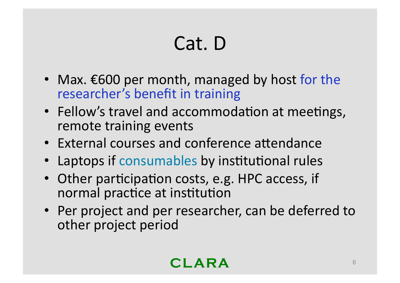# Cat. D

- Max.  $\epsilon$ 600 per month, managed by host for the researcher's benefit in training
- Fellow's travel and accommodation at meetings, remote training events
- External courses and conference attendance
- Laptops if consumables by institutional rules
- Other participation costs, e.g. HPC access, if normal practice at institution
- Per project and per researcher, can be deferred to other project period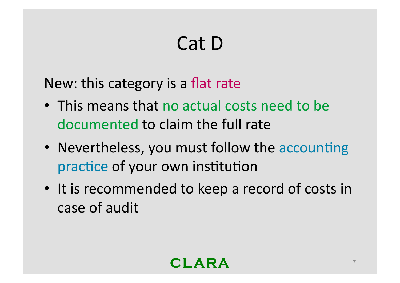# Cat D

New: this category is a flat rate

- This means that no actual costs need to be documented to claim the full rate
- Nevertheless, you must follow the accounting practice of your own institution
- It is recommended to keep a record of costs in case of audit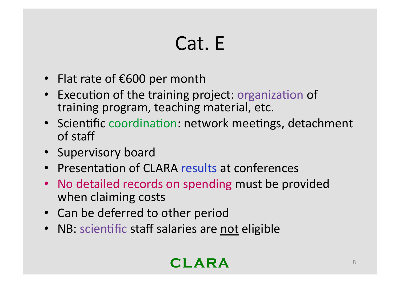# Cat. E

- Flat rate of  $\epsilon$ 600 per month
- Execution of the training project: organization of training program, teaching material, etc.
- Scientific coordination: network meetings, detachment of staff
- Supervisory board
- Presentation of CLARA results at conferences
- No detailed records on spending must be provided when claiming costs
- Can be deferred to other period
- NB: scientific staff salaries are not eligible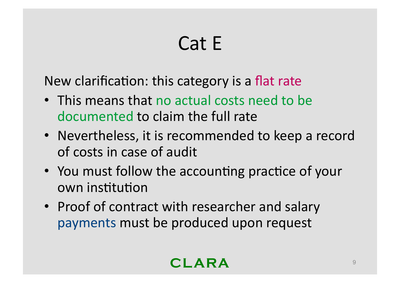# Cat E

New clarification: this category is a flat rate

- This means that no actual costs need to be documented to claim the full rate
- Nevertheless, it is recommended to keep a record of costs in case of audit
- You must follow the accounting practice of your own institution
- Proof of contract with researcher and salary payments must be produced upon request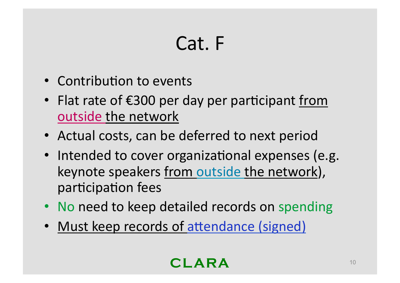## Cat. F

- Contribution to events
- Flat rate of  $\epsilon$ 300 per day per participant from outside the network
- Actual costs, can be deferred to next period
- Intended to cover organizational expenses (e.g. keynote speakers from outside the network), participation fees
- No need to keep detailed records on spending
- Must keep records of attendance (signed)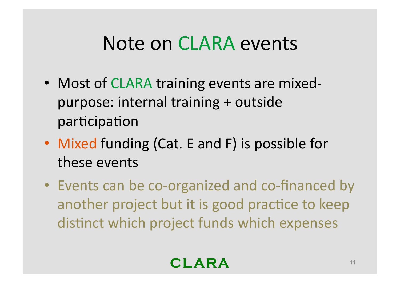#### Note on CLARA events

- Most of CLARA training events are mixedpurpose: internal training + outside participation
- Mixed funding (Cat. E and F) is possible for these events
- Events can be co-organized and co-financed by another project but it is good practice to keep distinct which project funds which expenses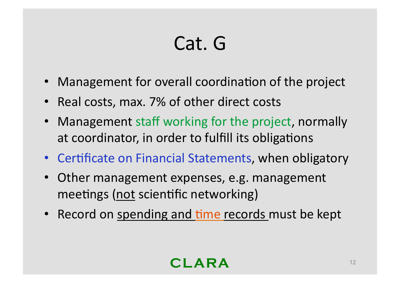# Cat. G

- Management for overall coordination of the project
- Real costs, max. 7% of other direct costs
- Management staff working for the project, normally at coordinator, in order to fulfill its obligations
- Certificate on Financial Statements, when obligatory
- Other management expenses, e.g. management meetings (not scientific networking)
- Record on spending and time records must be kept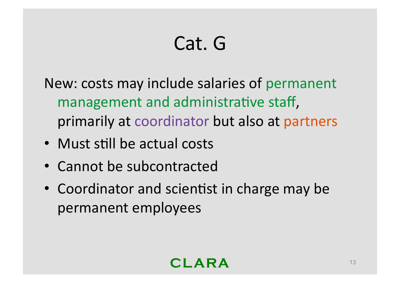# Cat. G

New: costs may include salaries of permanent management and administrative staff, primarily at coordinator but also at partners

- Must still be actual costs
- Cannot be subcontracted
- Coordinator and scientist in charge may be permanent employees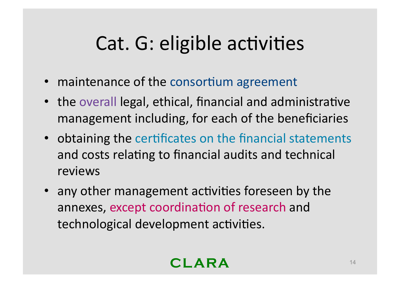### Cat. G: eligible activities

- maintenance of the consortium agreement
- the overall legal, ethical, financial and administrative management including, for each of the beneficiaries
- obtaining the certificates on the financial statements and costs relating to financial audits and technical reviews
- any other management activities foreseen by the annexes, except coordination of research and technological development activities.

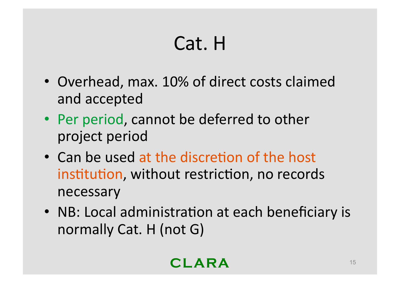# Cat. H

- Overhead, max. 10% of direct costs claimed and accepted
- Per period, cannot be deferred to other project period
- Can be used at the discretion of the host institution, without restriction, no records necessary
- NB: Local administration at each beneficiary is normally Cat. H (not  $G$ )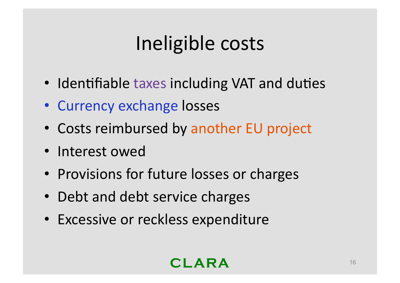# Ineligible costs

- Identifiable taxes including VAT and duties
- Currency exchange losses
- Costs reimbursed by another EU project
- Interest owed
- Provisions for future losses or charges
- Debt and debt service charges
- Excessive or reckless expenditure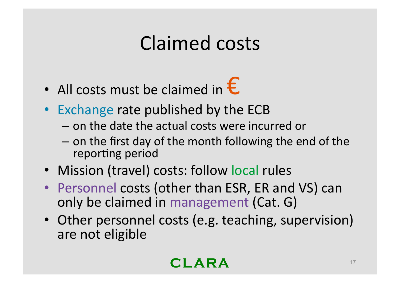### **Claimed costs**

- All costs must be claimed in  $\epsilon$
- Exchange rate published by the ECB
	- on the date the actual costs were incurred or
	- on the first day of the month following the end of the reporting period
- Mission (travel) costs: follow local rules
- Personnel costs (other than ESR, ER and VS) can only be claimed in management (Cat. G)
- Other personnel costs (e.g. teaching, supervision) are not eligible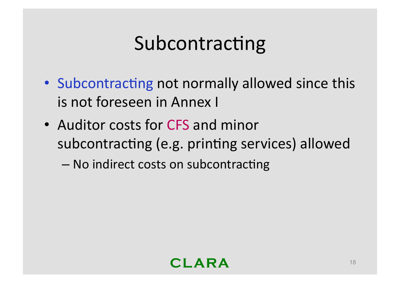### Subcontracting

- Subcontracting not normally allowed since this is not foreseen in Annex I
- Auditor costs for CFS and minor subcontracting (e.g. printing services) allowed

- No indirect costs on subcontracting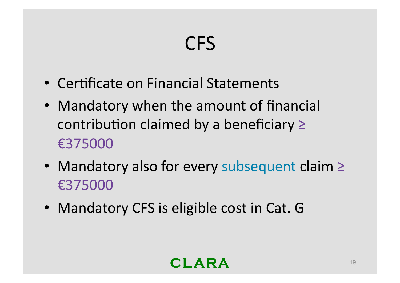# **CFS**

- Certificate on Financial Statements
- Mandatory when the amount of financial contribution claimed by a beneficiary  $\geq$ €375000
- Mandatory also for every subsequent claim  $\ge$ €375000
- Mandatory CFS is eligible cost in Cat. G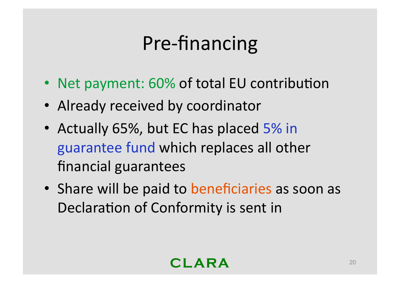# Pre-financing

- Net payment: 60% of total EU contribution
- Already received by coordinator
- Actually 65%, but EC has placed 5% in guarantee fund which replaces all other financial guarantees
- Share will be paid to beneficiaries as soon as Declaration of Conformity is sent in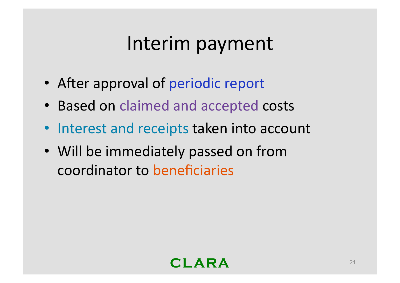#### Interim payment

- After approval of periodic report
- Based on claimed and accepted costs
- Interest and receipts taken into account
- Will be immediately passed on from coordinator to beneficiaries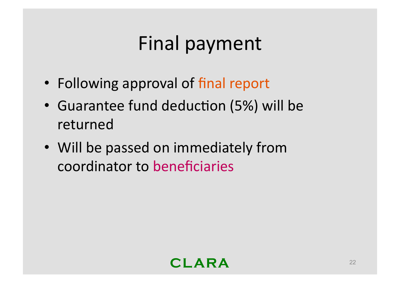## Final payment

- Following approval of final report
- Guarantee fund deduction (5%) will be returned
- Will be passed on immediately from coordinator to beneficiaries